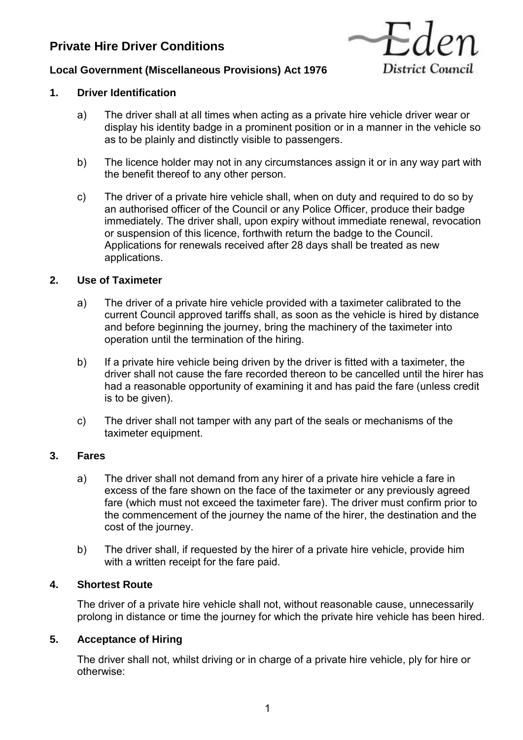# **Private Hire Driver Conditions**



# **Local Government (Miscellaneous Provisions) Act 1976**

## **1. Driver Identification**

- a) The driver shall at all times when acting as a private hire vehicle driver wear or display his identity badge in a prominent position or in a manner in the vehicle so as to be plainly and distinctly visible to passengers.
- b) The licence holder may not in any circumstances assign it or in any way part with the benefit thereof to any other person.
- c) The driver of a private hire vehicle shall, when on duty and required to do so by an authorised officer of the Council or any Police Officer, produce their badge immediately. The driver shall, upon expiry without immediate renewal, revocation or suspension of this licence, forthwith return the badge to the Council. Applications for renewals received after 28 days shall be treated as new applications.

## **2. Use of Taximeter**

- a) The driver of a private hire vehicle provided with a taximeter calibrated to the current Council approved tariffs shall, as soon as the vehicle is hired by distance and before beginning the journey, bring the machinery of the taximeter into operation until the termination of the hiring.
- b) If a private hire vehicle being driven by the driver is fitted with a taximeter, the driver shall not cause the fare recorded thereon to be cancelled until the hirer has had a reasonable opportunity of examining it and has paid the fare (unless credit is to be given).
- c) The driver shall not tamper with any part of the seals or mechanisms of the taximeter equipment.

## **3. Fares**

- a) The driver shall not demand from any hirer of a private hire vehicle a fare in excess of the fare shown on the face of the taximeter or any previously agreed fare (which must not exceed the taximeter fare). The driver must confirm prior to the commencement of the journey the name of the hirer, the destination and the cost of the journey.
- b) The driver shall, if requested by the hirer of a private hire vehicle, provide him with a written receipt for the fare paid.

## **4. Shortest Route**

The driver of a private hire vehicle shall not, without reasonable cause, unnecessarily prolong in distance or time the journey for which the private hire vehicle has been hired.

## **5. Acceptance of Hiring**

The driver shall not, whilst driving or in charge of a private hire vehicle, ply for hire or otherwise: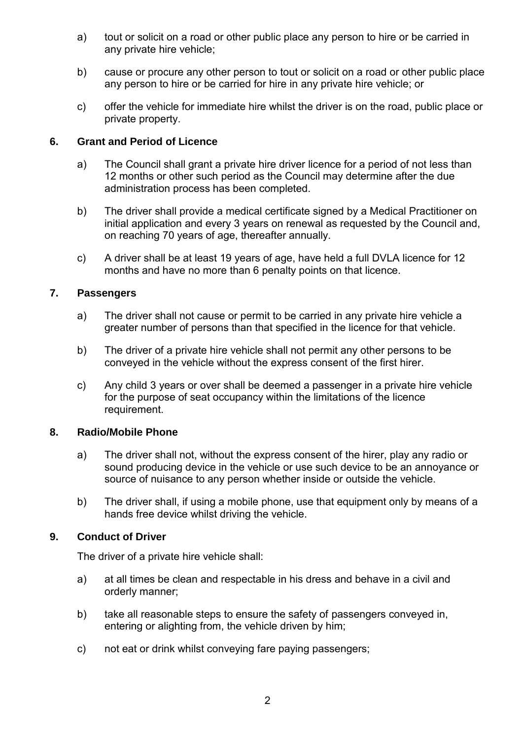- a) tout or solicit on a road or other public place any person to hire or be carried in any private hire vehicle;
- b) cause or procure any other person to tout or solicit on a road or other public place any person to hire or be carried for hire in any private hire vehicle; or
- c) offer the vehicle for immediate hire whilst the driver is on the road, public place or private property.

## **6. Grant and Period of Licence**

- a) The Council shall grant a private hire driver licence for a period of not less than 12 months or other such period as the Council may determine after the due administration process has been completed.
- b) The driver shall provide a medical certificate signed by a Medical Practitioner on initial application and every 3 years on renewal as requested by the Council and, on reaching 70 years of age, thereafter annually.
- c) A driver shall be at least 19 years of age, have held a full DVLA licence for 12 months and have no more than 6 penalty points on that licence.

## **7. Passengers**

- a) The driver shall not cause or permit to be carried in any private hire vehicle a greater number of persons than that specified in the licence for that vehicle.
- b) The driver of a private hire vehicle shall not permit any other persons to be conveyed in the vehicle without the express consent of the first hirer.
- c) Any child 3 years or over shall be deemed a passenger in a private hire vehicle for the purpose of seat occupancy within the limitations of the licence requirement.

## **8. Radio/Mobile Phone**

- a) The driver shall not, without the express consent of the hirer, play any radio or sound producing device in the vehicle or use such device to be an annoyance or source of nuisance to any person whether inside or outside the vehicle.
- b) The driver shall, if using a mobile phone, use that equipment only by means of a hands free device whilst driving the vehicle.

## **9. Conduct of Driver**

The driver of a private hire vehicle shall:

- a) at all times be clean and respectable in his dress and behave in a civil and orderly manner;
- b) take all reasonable steps to ensure the safety of passengers conveyed in, entering or alighting from, the vehicle driven by him;
- c) not eat or drink whilst conveying fare paying passengers;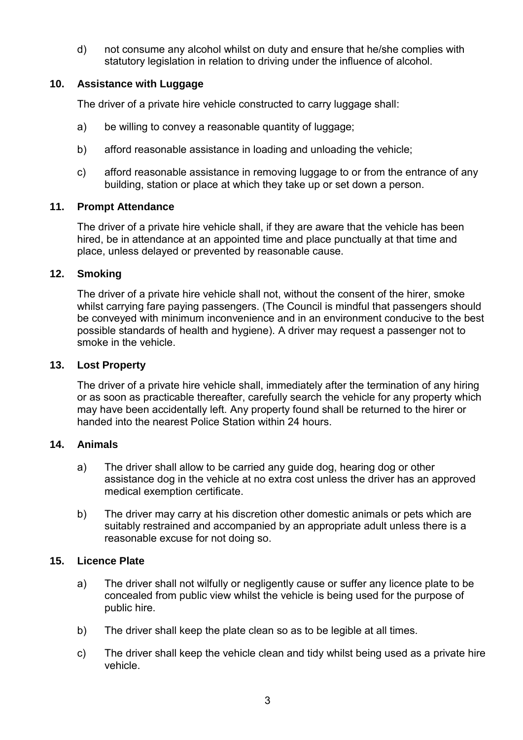d) not consume any alcohol whilst on duty and ensure that he/she complies with statutory legislation in relation to driving under the influence of alcohol.

## **10. Assistance with Luggage**

The driver of a private hire vehicle constructed to carry luggage shall:

- a) be willing to convey a reasonable quantity of luggage;
- b) afford reasonable assistance in loading and unloading the vehicle;
- c) afford reasonable assistance in removing luggage to or from the entrance of any building, station or place at which they take up or set down a person.

## **11. Prompt Attendance**

The driver of a private hire vehicle shall, if they are aware that the vehicle has been hired, be in attendance at an appointed time and place punctually at that time and place, unless delayed or prevented by reasonable cause.

## **12. Smoking**

The driver of a private hire vehicle shall not, without the consent of the hirer, smoke whilst carrying fare paying passengers. (The Council is mindful that passengers should be conveyed with minimum inconvenience and in an environment conducive to the best possible standards of health and hygiene). A driver may request a passenger not to smoke in the vehicle.

## **13. Lost Property**

The driver of a private hire vehicle shall, immediately after the termination of any hiring or as soon as practicable thereafter, carefully search the vehicle for any property which may have been accidentally left. Any property found shall be returned to the hirer or handed into the nearest Police Station within 24 hours.

## **14. Animals**

- a) The driver shall allow to be carried any guide dog, hearing dog or other assistance dog in the vehicle at no extra cost unless the driver has an approved medical exemption certificate.
- b) The driver may carry at his discretion other domestic animals or pets which are suitably restrained and accompanied by an appropriate adult unless there is a reasonable excuse for not doing so.

## **15. Licence Plate**

- a) The driver shall not wilfully or negligently cause or suffer any licence plate to be concealed from public view whilst the vehicle is being used for the purpose of public hire.
- b) The driver shall keep the plate clean so as to be legible at all times.
- c) The driver shall keep the vehicle clean and tidy whilst being used as a private hire vehicle.